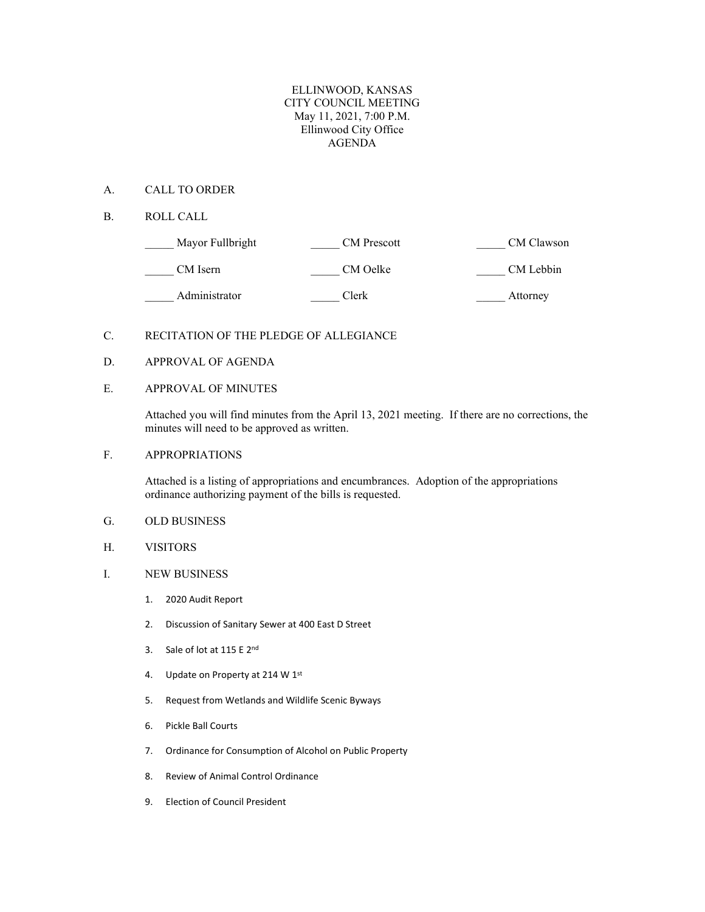## ELLINWOOD, KANSAS CITY COUNCIL MEETING May 11, 2021, 7:00 P.M. Ellinwood City Office AGENDA

## A. CALL TO ORDER

B. ROLL CALL

| Mayor Fullbright | <b>CM</b> Prescott | CM Clawson |
|------------------|--------------------|------------|
| CM Isern         | CM Oelke           | CM Lebbin  |
| Administrator    | Clerk              | Attorney   |

# C. RECITATION OF THE PLEDGE OF ALLEGIANCE

### D. APPROVAL OF AGENDA

## E. APPROVAL OF MINUTES

Attached you will find minutes from the April 13, 2021 meeting. If there are no corrections, the minutes will need to be approved as written.

#### F. APPROPRIATIONS

Attached is a listing of appropriations and encumbrances. Adoption of the appropriations ordinance authorizing payment of the bills is requested.

## G. OLD BUSINESS

H. VISITORS

#### I. NEW BUSINESS

- 1. 2020 Audit Report
- 2. Discussion of Sanitary Sewer at 400 East D Street
- 3. Sale of lot at 115 E 2nd
- 4. Update on Property at 214 W 1st
- 5. Request from Wetlands and Wildlife Scenic Byways
- 6. Pickle Ball Courts
- 7. Ordinance for Consumption of Alcohol on Public Property
- 8. Review of Animal Control Ordinance
- 9. Election of Council President